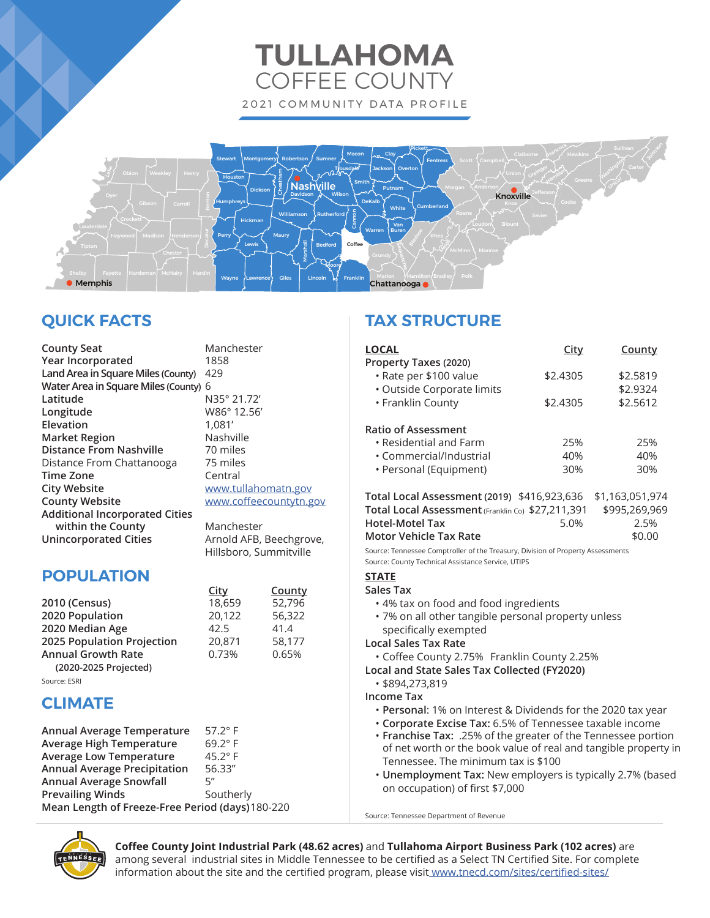# **TULLAHOMA** COFFEE COUNTY 2021 COMMUNITY DATA PROFILE



# **QUICK FACTS**

**County Seat** Manchester **Year Incorporated** 1858 Land Area in Square Miles (County) 429 **Water Area in Square Miles (County)** 6 **Latitude** N35° 21.72' **Elevation** 1,081' **Market Region** Nashville **Distance From Nashville** 70 miles Distance From Chattanooga 75 miles **Time Zone** Central **City Website** www.tullahomatn.gov **County Website www.coffeecountytn.gov Additional Incorporated Cities within the County** Manchester **Unincorporated Cities** Arnold AFB, Beechgrove, Hillsboro, Summitville

**Longitude** W86° 12.56'

## **POPULATION**

 **City County 2010 (Census)** 18,659 52,796 **2020 Population** 20,122 56,322<br>**2020 Median Age** 42.5 41.4 **2020 Median Age 68 12.5 41.4<br><b>2025 Population Projection** 20.871 58.177 **2025 Population Projection** 20,871 **Annual Growth Rate** 0.73% 0.65% **(2020-2025 Projected)**

## Source: ESRI

## **CLIMATE**

| Annual Average Temperature                       | $57.2^\circ$ F |
|--------------------------------------------------|----------------|
| <b>Average High Temperature</b>                  | $69.2^\circ$ F |
| <b>Average Low Temperature</b>                   | $45.2^\circ$ F |
| <b>Annual Average Precipitation</b>              | 56.33"         |
| <b>Annual Average Snowfall</b>                   | 5″             |
| <b>Prevailing Winds</b>                          | Southerly      |
| Mean Length of Freeze-Free Period (days) 180-220 |                |

## **TAX STRUCTURE**

| <b>LOCAL</b><br>Property Taxes (2020)                                           | <u>City</u> | <u>County</u>   |
|---------------------------------------------------------------------------------|-------------|-----------------|
| · Rate per \$100 value                                                          | \$2.4305    | \$2.5819        |
| • Outside Corporate limits                                                      |             | \$2.9324        |
| • Franklin County                                                               | \$2.4305    | \$2.5612        |
| <b>Ratio of Assessment</b>                                                      |             |                 |
| $\cdot$ Residential and Farm                                                    | 25%         | 25%             |
| • Commercial/Industrial                                                         | 40%         | 40%             |
| • Personal (Equipment)                                                          | 30%         | 30%             |
| Total Local Assessment (2019) \$416,923,636                                     |             | \$1,163,051,974 |
| Total Local Assessment (Franklin Co) \$27,211,391                               |             | \$995,269,969   |
| <b>Hotel-Motel Tax</b>                                                          | 5.0%        | 2.5%            |
| Motor Vehicle Tax Rate                                                          |             | \$0.00          |
| Source: Tennessee Comptroller of the Treasury, Division of Property Assessments |             |                 |
| Source: County Technical Assistance Service, UTIPS                              |             |                 |
| <b>STATE</b>                                                                    |             |                 |
| Sales Tax                                                                       |             |                 |
| • 4% tax on food and food ingredients                                           |             |                 |

• 7% on all other tangible personal property unless specifically exempted

## **Local Sales Tax Rate**

• Coffee County 2.75% Franklin County 2.25%

## **Local and State Sales Tax Collected (FY2020)**

• \$894,273,819

**Income Tax**

- **Personal**: 1% on Interest & Dividends for the 2020 tax year
- **Corporate Excise Tax:** 6.5% of Tennessee taxable income
- **Franchise Tax:** .25% of the greater of the Tennessee portion of net worth or the book value of real and tangible property in Tennessee. The minimum tax is \$100
- **Unemployment Tax:** New employers is typically 2.7% (based on occupation) of first \$7,000

Source: Tennessee Department of Revenue



**Coffee County Joint Industrial Park (48.62 acres)** and **Tullahoma Airport Business Park (102 acres)** are among several industrial sites in Middle Tennessee to be certified as a Select TN Certified Site. For complete information about the site and the certified program, please visit www.tnecd.com/sites/certified-sites/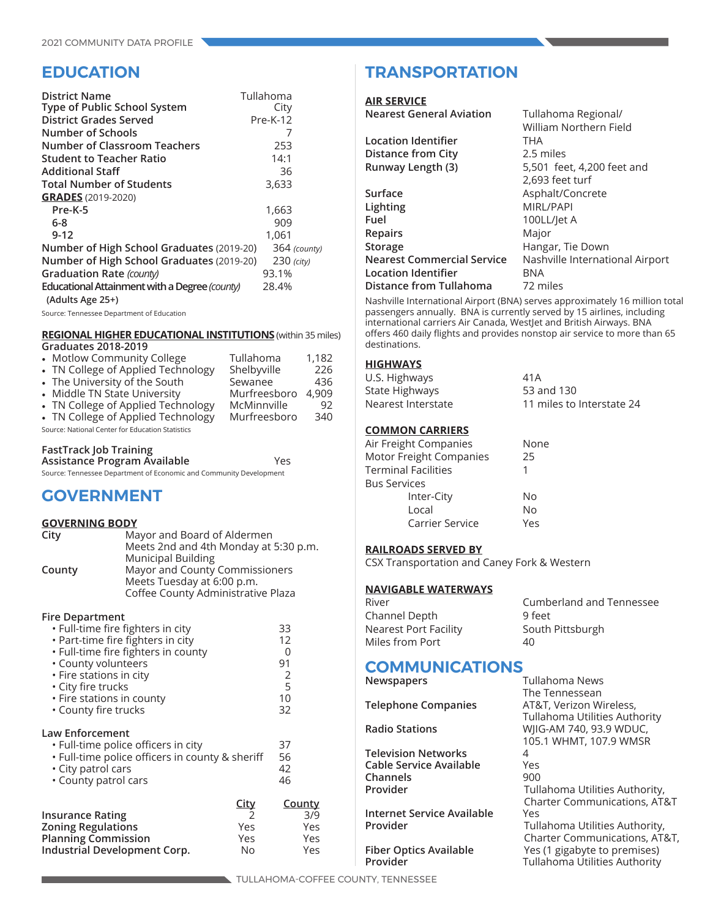## **EDUCATION**

| <b>District Name</b><br>Type of Public School System<br><b>District Grades Served</b> | Tullahoma<br>City<br>Pre-K-12 |
|---------------------------------------------------------------------------------------|-------------------------------|
| <b>Number of Schools</b>                                                              |                               |
| <b>Number of Classroom Teachers</b>                                                   | 253                           |
| <b>Student to Teacher Ratio</b>                                                       | 14:1                          |
| <b>Additional Staff</b>                                                               | 36                            |
| <b>Total Number of Students</b>                                                       | 3,633                         |
| <b>GRADES</b> (2019-2020)                                                             |                               |
| Pre-K-5                                                                               | 1,663                         |
| 6-8                                                                                   | 909                           |
| $9 - 12$                                                                              | 1,061                         |
| Number of High School Graduates (2019-20)                                             | 364 (county)                  |
| Number of High School Graduates (2019-20)                                             | $230$ (city)                  |
| Graduation Rate (county)                                                              | 93.1%                         |
| Educational Attainment with a Degree (county)<br>(Adults Age 25+)                     | 28.4%                         |

Source: Tennessee Department of Education

#### **REGIONAL HIGHER EDUCATIONAL INSTITUTIONS** (within 35 miles) **Graduates 2018-2019**

| ----------------                                 |              |       |
|--------------------------------------------------|--------------|-------|
| • Motlow Community College                       | Tullahoma    | 1,182 |
| • TN College of Applied Technology               | Shelbyville  | 226   |
| • The University of the South                    | Sewanee      | 436   |
| • Middle TN State University                     | Murfreesboro | 4.909 |
| • TN College of Applied Technology               | McMinnville  | 92    |
| • TN College of Applied Technology               | Murfreesboro | 340   |
| Source: National Center for Education Statistics |              |       |

## **FastTrack Job Training**

| Assistance Program Available                                       | Yes |
|--------------------------------------------------------------------|-----|
| Source: Tennessee Department of Economic and Community Development |     |

## **GOVERNMENT**

## **GOVERNING BODY**

| City   | Mayor and Board of Aldermen<br>Meets 2nd and 4th Monday at 5:30 p.m.                               |
|--------|----------------------------------------------------------------------------------------------------|
|        | <b>Municipal Building</b>                                                                          |
| County | Mayor and County Commissioners<br>Meets Tuesday at 6:00 p.m.<br>Coffee County Administrative Plaza |

#### **Fire Department**

| • Full-time fire fighters in city<br>• Part-time fire fighters in city<br>• Full-time fire fighters in county<br>• County volunteers<br>• Fire stations in city<br>· City fire trucks<br>• Fire stations in county<br>• County fire trucks |                                                  | 33<br>12<br>U<br>91<br>2<br>5<br>10<br>32 |
|--------------------------------------------------------------------------------------------------------------------------------------------------------------------------------------------------------------------------------------------|--------------------------------------------------|-------------------------------------------|
| Law Enforcement<br>· Full-time police officers in city<br>• Full-time police officers in county & sheriff<br>· City patrol cars<br>• County patrol cars                                                                                    |                                                  | 37<br>56<br>42<br>46                      |
| <b>Insurance Rating</b><br><b>Zoning Regulations</b><br><b>Planning Commission</b><br>Industrial Development Corp.                                                                                                                         | <b>City</b><br>$\mathcal{L}$<br>Yes<br>Yes<br>No | <u>County</u><br>3/9<br>Yes<br>Yes<br>Yes |

## **TRANSPORTATION**

#### **AIR SERVICE**

| <b>Nearest General Aviation</b> | Tullahoma Regional/             |
|---------------------------------|---------------------------------|
|                                 | William Northern Field          |
| Location Identifier             | <b>THA</b>                      |
| <b>Distance from City</b>       | 2.5 miles                       |
| Runway Length (3)               | 5,501 feet, 4,200 feet and      |
|                                 | 2,693 feet turf                 |
| Surface                         | Asphalt/Concrete                |
| Lighting                        | <b>MIRL/PAPI</b>                |
| Fuel                            | 100LL/Jet A                     |
| <b>Repairs</b>                  | Major                           |
| Storage                         | Hangar, Tie Down                |
| Nearest Commercial Service      | Nashville International Airport |
| <b>Location Identifier</b>      | BNA                             |
| <b>Distance from Tullahoma</b>  | 72 miles                        |
|                                 |                                 |

Nashville International Airport (BNA) serves approximately 16 million total passengers annually. BNA is currently served by 15 airlines, including international carriers Air Canada, WestJet and British Airways. BNA offers 460 daily flights and provides nonstop air service to more than 65 destinations.

## **HIGHWAYS**

| U.S. Highways      | 41 A                      |
|--------------------|---------------------------|
| State Highways     | 53 and 130                |
| Nearest Interstate | 11 miles to Interstate 24 |

## **COMMON CARRIERS**

| Motor Freight Companies<br>Inter-City<br>Local    | None |
|---------------------------------------------------|------|
| <b>Terminal Facilities</b><br><b>Bus Services</b> | 25   |
|                                                   |      |
|                                                   |      |
|                                                   | No   |
|                                                   | No   |
| Carrier Service                                   | Yes  |

## **RAILROADS SERVED BY**

CSX Transportation and Caney Fork & Western

## **NAVIGABLE WATERWAYS**

| Cumberland and Tennessee |
|--------------------------|
| 9 feet                   |
| South Pittsburgh         |
| 40                       |
|                          |

## **COMMUNICATIONS News**

| <b>Newspapers</b>             | Tullahoma News                          |
|-------------------------------|-----------------------------------------|
|                               | The Tennessean                          |
| <b>Telephone Companies</b>    | AT&T, Verizon Wireless,                 |
|                               | <b>Tullahoma Utilities Authority</b>    |
| <b>Radio Stations</b>         | WIIG-AM 740, 93.9 WDUC,                 |
|                               | 105.1 WHMT, 107.9 WMSR                  |
| <b>Television Networks</b>    | 4                                       |
| Cable Service Available       | Yes                                     |
| Channels                      | 900                                     |
| Provider                      | Tullahoma Utilities Authority,          |
|                               | <b>Charter Communications, AT&amp;T</b> |
| Internet Service Available    | Yes                                     |
| Provider                      | Tullahoma Utilities Authority,          |
|                               | Charter Communications, AT&T,           |
| <b>Fiber Optics Available</b> | Yes (1 gigabyte to premises)            |
| Provider                      | Tullahoma Utilities Authority           |
|                               |                                         |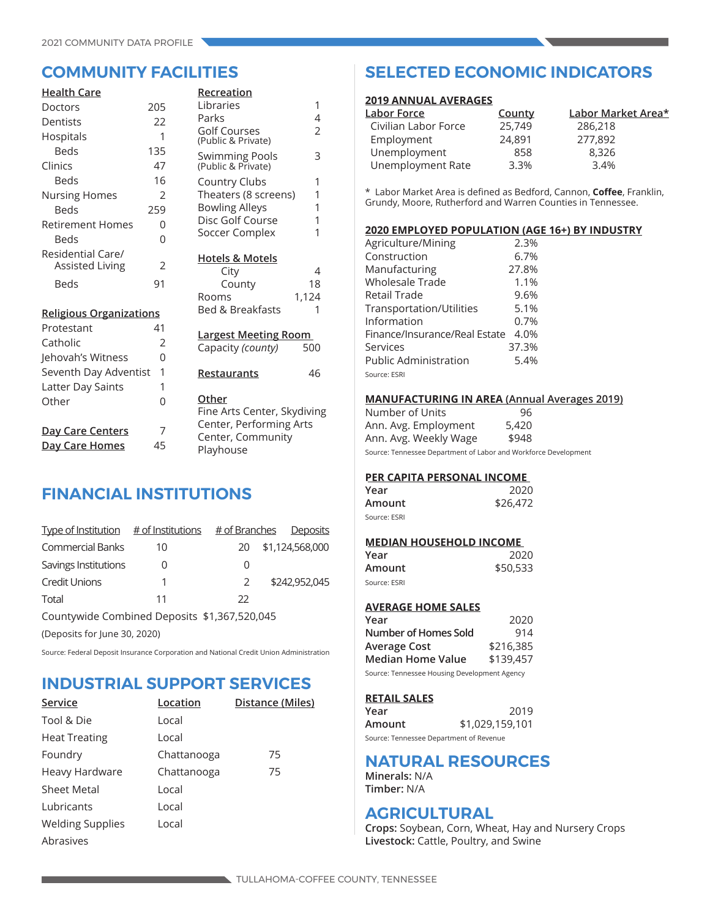| <b>Health Care</b>                          |                | Recreation                                       |       |
|---------------------------------------------|----------------|--------------------------------------------------|-------|
| Doctors                                     | 205            | Libraries                                        | 1     |
| Dentists                                    | 22             | Parks                                            | 4     |
| Hospitals                                   | 1              | <b>Golf Courses</b><br>(Public & Private)        | 2     |
| <b>Beds</b>                                 | 135            |                                                  | 3     |
| Clinics                                     | 47             | Swimming Pools<br>(Public & Private)             |       |
| <b>Beds</b>                                 | 16             | Country Clubs                                    | 1     |
| <b>Nursing Homes</b>                        | $\mathfrak{D}$ | Theaters (8 screens)                             | 1     |
| <b>Beds</b>                                 | 259            | <b>Bowling Alleys</b>                            | 1     |
| Retirement Homes                            | 0              | Disc Golf Course                                 | 1     |
| <b>Beds</b>                                 | 0              | Soccer Complex                                   | 1     |
| Residential Care/<br><b>Assisted Living</b> | 2              | <b>Hotels &amp; Motels</b><br>City               | 4     |
| <b>Beds</b>                                 | 91             | County                                           | 18    |
|                                             |                | Rooms                                            | 1,124 |
| <b>Religious Organizations</b>              |                | <b>Bed &amp; Breakfasts</b>                      | 1     |
| Protestant                                  | 41             |                                                  |       |
| Catholic                                    | $\overline{2}$ | <b>Largest Meeting Room</b><br>Capacity (county) | 500   |
| Jehovah's Witness                           | 0              |                                                  |       |
| Seventh Day Adventist                       | 1              | <b>Restaurants</b>                               | 46    |
| Latter Day Saints                           | 1              |                                                  |       |
| Other                                       | 0              | Other<br>Fine Arts Center, Skydiving             |       |
| <u>Day Care Centers</u>                     | 7              | Center, Performing Arts                          |       |
| Day Care Homes                              | 45             | Center, Community<br>Playhouse                   |       |

## **FINANCIAL INSTITUTIONS**

| Type of Institution $\#$ of Institutions      |    | <u># of Branches</u> |  | Deposits        |
|-----------------------------------------------|----|----------------------|--|-----------------|
| <b>Commercial Banks</b>                       | 10 | 20.                  |  | \$1,124,568,000 |
| Savings Institutions                          |    | O                    |  |                 |
| <b>Credit Unions</b>                          |    | $\mathcal{P}$        |  | \$242,952,045   |
| Total                                         | 11 | 22                   |  |                 |
| Countinuide Combined Deposits \$1,267,520,045 |    |                      |  |                 |

Countywide Combined Deposits \$1,367,520,045

(Deposits for June 30, 2020)

Source: Federal Deposit Insurance Corporation and National Credit Union Administration

## **INDUSTRIAL SUPPORT SERVICES**

| Service                 | Location    | Distance (Miles) |
|-------------------------|-------------|------------------|
| Tool & Die              | Local       |                  |
| <b>Heat Treating</b>    | Local       |                  |
| Foundry                 | Chattanooga | 75               |
| Heavy Hardware          | Chattanooga | 75               |
| Sheet Metal             | Local       |                  |
| Lubricants              | Local       |                  |
| <b>Welding Supplies</b> | Local       |                  |
| Abrasives               |             |                  |

## **COMMUNITY FACILITIES SELECTED ECONOMIC INDICATORS**

#### **2019 ANNUAL AVERAGES**

| <u> Labor Force</u>  | County | Labor Market Area* |  |
|----------------------|--------|--------------------|--|
| Civilian Labor Force | 25,749 | 286,218            |  |
| Employment           | 24,891 | 277,892            |  |
| Unemployment         | 858    | 8,326              |  |
| Unemployment Rate    | 3.3%   | 3.4%               |  |
|                      |        |                    |  |

\* Labor Market Area is defined as Bedford, Cannon, **Coffee**, Franklin, Grundy, Moore, Rutherford and Warren Counties in Tennessee.

### **2020 EMPLOYED POPULATION (AGE 16+) BY INDUSTRY**

| Agriculture/Mining            | 2.3%  |
|-------------------------------|-------|
| Construction                  | 6.7%  |
| Manufacturing                 | 27.8% |
| Wholesale Trade               | 1.1%  |
| Retail Trade                  | 9.6%  |
| Transportation/Utilities      | 5.1%  |
| Information                   | 0.7%  |
| Finance/Insurance/Real Estate | 4.0%  |
| Services                      | 37.3% |
| <b>Public Administration</b>  | 5.4%  |
| Source: ESRI                  |       |
|                               |       |

#### **MANUFACTURING IN AREA (Annual Averages 2019)**

| 96    |
|-------|
| 5,420 |
| \$948 |
|       |

Source: Tennessee Department of Labor and Workforce Development

## **PER CAPITA PERSONAL INCOME**

| Year         | 2020     |  |  |
|--------------|----------|--|--|
| Amount       | \$26,472 |  |  |
| Source: ESRI |          |  |  |

## **MEDIAN HOUSEHOLD INCOME**

| Year         | 2020     |
|--------------|----------|
| Amount       | \$50,533 |
| Source: ESRI |          |

## **AVERAGE HOME SALES**

| Year                                         | 2020      |  |
|----------------------------------------------|-----------|--|
| Number of Homes Sold                         | 914       |  |
| Average Cost                                 | \$216,385 |  |
| Median Home Value                            | \$139,457 |  |
| Source: Tennessee Housing Development Agency |           |  |

#### **RETAIL SALES**

| Year                                    | 2019            |
|-----------------------------------------|-----------------|
| Amount                                  | \$1,029,159,101 |
| Source: Tennessee Department of Revenue |                 |

## **NATURAL RESOURCES**

**Minerals:** N/A **Timber:** N/A

## **AGRICULTURAL**

**Crops:** Soybean, Corn, Wheat, Hay and Nursery Crops **Livestock:** Cattle, Poultry, and Swine